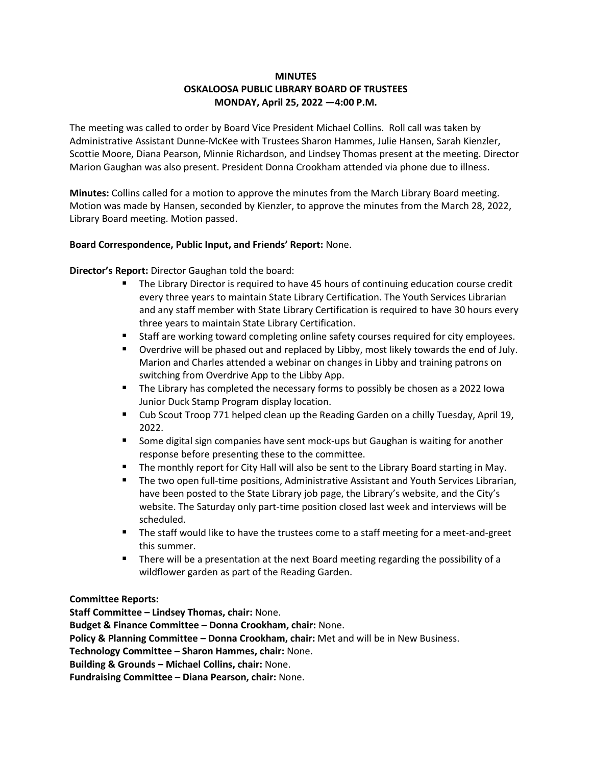# **MINUTES OSKALOOSA PUBLIC LIBRARY BOARD OF TRUSTEES MONDAY, April 25, 2022 —4:00 P.M.**

The meeting was called to order by Board Vice President Michael Collins. Roll call was taken by Administrative Assistant Dunne-McKee with Trustees Sharon Hammes, Julie Hansen, Sarah Kienzler, Scottie Moore, Diana Pearson, Minnie Richardson, and Lindsey Thomas present at the meeting. Director Marion Gaughan was also present. President Donna Crookham attended via phone due to illness.

**Minutes:** Collins called for a motion to approve the minutes from the March Library Board meeting. Motion was made by Hansen, seconded by Kienzler, to approve the minutes from the March 28, 2022, Library Board meeting. Motion passed.

# **Board Correspondence, Public Input, and Friends' Report:** None.

**Director's Report:** Director Gaughan told the board:

- The Library Director is required to have 45 hours of continuing education course credit every three years to maintain State Library Certification. The Youth Services Librarian and any staff member with State Library Certification is required to have 30 hours every three years to maintain State Library Certification.
- Staff are working toward completing online safety courses required for city employees.
- Overdrive will be phased out and replaced by Libby, most likely towards the end of July. Marion and Charles attended a webinar on changes in Libby and training patrons on switching from Overdrive App to the Libby App.
- The Library has completed the necessary forms to possibly be chosen as a 2022 Iowa Junior Duck Stamp Program display location.
- Cub Scout Troop 771 helped clean up the Reading Garden on a chilly Tuesday, April 19, 2022.
- Some digital sign companies have sent mock-ups but Gaughan is waiting for another response before presenting these to the committee.
- **E** The monthly report for City Hall will also be sent to the Library Board starting in May.
- The two open full-time positions, Administrative Assistant and Youth Services Librarian, have been posted to the State Library job page, the Library's website, and the City's website. The Saturday only part-time position closed last week and interviews will be scheduled.
- The staff would like to have the trustees come to a staff meeting for a meet-and-greet this summer.
- There will be a presentation at the next Board meeting regarding the possibility of a wildflower garden as part of the Reading Garden.

# **Committee Reports:**

**Staff Committee – Lindsey Thomas, chair:** None. **Budget & Finance Committee – Donna Crookham, chair:** None. **Policy & Planning Committee – Donna Crookham, chair:** Met and will be in New Business. **Technology Committee – Sharon Hammes, chair:** None. **Building & Grounds – Michael Collins, chair:** None. **Fundraising Committee – Diana Pearson, chair:** None.